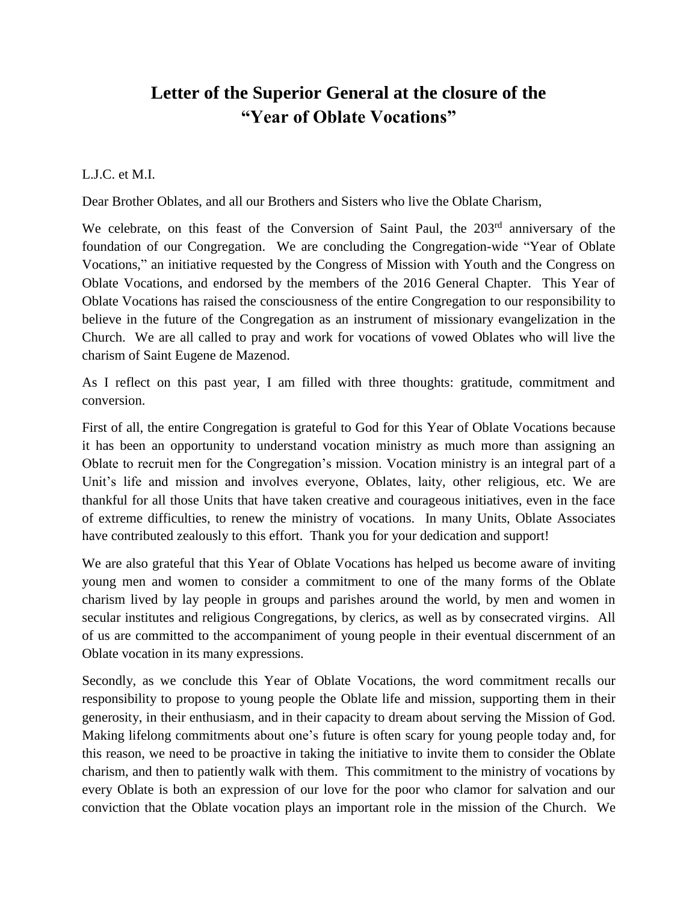## **Letter of the Superior General at the closure of the "Year of Oblate Vocations"**

## L.J.C. et M.I.

Dear Brother Oblates, and all our Brothers and Sisters who live the Oblate Charism,

We celebrate, on this feast of the Conversion of Saint Paul, the 203rd anniversary of the foundation of our Congregation. We are concluding the Congregation-wide "Year of Oblate Vocations," an initiative requested by the Congress of Mission with Youth and the Congress on Oblate Vocations, and endorsed by the members of the 2016 General Chapter. This Year of Oblate Vocations has raised the consciousness of the entire Congregation to our responsibility to believe in the future of the Congregation as an instrument of missionary evangelization in the Church. We are all called to pray and work for vocations of vowed Oblates who will live the charism of Saint Eugene de Mazenod.

As I reflect on this past year, I am filled with three thoughts: gratitude, commitment and conversion.

First of all, the entire Congregation is grateful to God for this Year of Oblate Vocations because it has been an opportunity to understand vocation ministry as much more than assigning an Oblate to recruit men for the Congregation's mission. Vocation ministry is an integral part of a Unit's life and mission and involves everyone, Oblates, laity, other religious, etc. We are thankful for all those Units that have taken creative and courageous initiatives, even in the face of extreme difficulties, to renew the ministry of vocations. In many Units, Oblate Associates have contributed zealously to this effort. Thank you for your dedication and support!

We are also grateful that this Year of Oblate Vocations has helped us become aware of inviting young men and women to consider a commitment to one of the many forms of the Oblate charism lived by lay people in groups and parishes around the world, by men and women in secular institutes and religious Congregations, by clerics, as well as by consecrated virgins. All of us are committed to the accompaniment of young people in their eventual discernment of an Oblate vocation in its many expressions.

Secondly, as we conclude this Year of Oblate Vocations, the word commitment recalls our responsibility to propose to young people the Oblate life and mission, supporting them in their generosity, in their enthusiasm, and in their capacity to dream about serving the Mission of God. Making lifelong commitments about one's future is often scary for young people today and, for this reason, we need to be proactive in taking the initiative to invite them to consider the Oblate charism, and then to patiently walk with them. This commitment to the ministry of vocations by every Oblate is both an expression of our love for the poor who clamor for salvation and our conviction that the Oblate vocation plays an important role in the mission of the Church. We